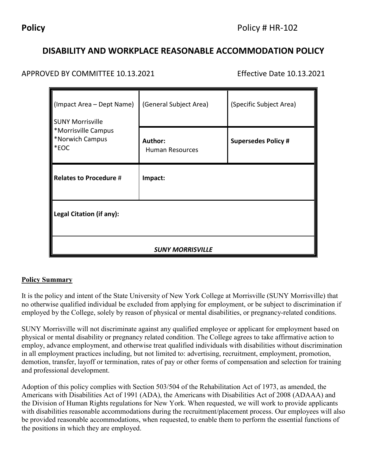# **DISABILITY AND WORKPLACE REASONABLE ACCOMMODATION POLICY**

# APPROVED BY COMMITTEE 10.13.2021 Effective Date 10.13.2021

| $\blacksquare$ (Impact Area – Dept Name)<br><b>SUNY Morrisville</b><br><b>*Morrisville Campus</b><br>*Norwich Campus<br>$ \ast$ EOC | (General Subject Area)                   | (Specific Subject Area)    |
|-------------------------------------------------------------------------------------------------------------------------------------|------------------------------------------|----------------------------|
|                                                                                                                                     | <b>Author:</b><br><b>Human Resources</b> | <b>Supersedes Policy #</b> |
| Relates to Procedure #                                                                                                              | Impact:                                  |                            |
| Legal Citation (if any):                                                                                                            |                                          |                            |
| <b>SUNY MORRISVILLE</b>                                                                                                             |                                          |                            |

## **Policy Summary**

It is the policy and intent of the State University of New York College at Morrisville (SUNY Morrisville) that no otherwise qualified individual be excluded from applying for employment, or be subject to discrimination if employed by the College, solely by reason of physical or mental disabilities, or pregnancy-related conditions.

SUNY Morrisville will not discriminate against any qualified employee or applicant for employment based on physical or mental disability or pregnancy related condition. The College agrees to take affirmative action to employ, advance employment, and otherwise treat qualified individuals with disabilities without discrimination in all employment practices including, but not limited to: advertising, recruitment, employment, promotion, demotion, transfer, layoff or termination, rates of pay or other forms of compensation and selection for training and professional development.

Adoption of this policy complies with Section 503/504 of the Rehabilitation Act of 1973, as amended, the Americans with Disabilities Act of 1991 (ADA), the Americans with Disabilities Act of 2008 (ADAAA) and the Division of Human Rights regulations for New York. When requested, we will work to provide applicants with disabilities reasonable accommodations during the recruitment/placement process. Our employees will also be provided reasonable accommodations, when requested, to enable them to perform the essential functions of the positions in which they are employed.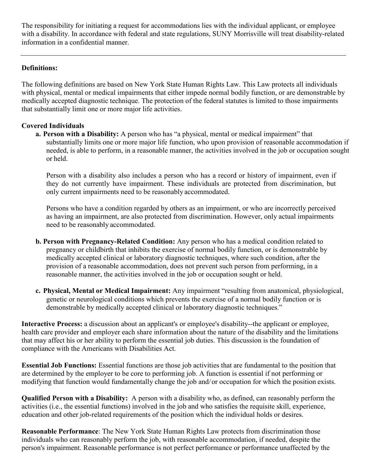The responsibility for initiating a request for accommodations lies with the individual applicant, or employee with a disability. In accordance with federal and state regulations, SUNY Morrisville will treat disability-related information in a confidential manner.

## **Definitions:**

The following definitions are based on New York State Human Rights Law. This Law protects all individuals with physical, mental or medical impairments that either impede normal bodily function, or are demonstrable by medically accepted diagnostic technique. The protection of the federal statutes is limited to those impairments that substantially limit one or more major life activities.

#### **Covered Individuals**

**a. Person with a Disability:** A person who has "a physical, mental or medical impairment" that substantially limits one or more major life function, who upon provision of reasonable accommodation if needed, is able to perform, in a reasonable manner, the activities involved in the job or occupation sought or held.

Person with a disability also includes a person who has a record or history of impairment, even if they do not currently have impairment. These individuals are protected from discrimination, but only current impairments need to be reasonably accommodated.

Persons who have a condition regarded by others as an impairment, or who are incorrectly perceived as having an impairment, are also protected from discrimination. However, only actual impairments need to be reasonably accommodated.

- **b. Person with Pregnancy-Related Condition:** Any person who has a medical condition related to pregnancy or childbirth that inhibits the exercise of normal bodily function, or is demonstrable by medically accepted clinical or laboratory diagnostic techniques, where such condition, after the provision of a reasonable accommodation, does not prevent such person from performing, in a reasonable manner, the activities involved in the job or occupation sought or held.
- **c. Physical, Mental or Medical Impairment:** Any impairment "resulting from anatomical, physiological, genetic or neurological conditions which prevents the exercise of a normal bodily function or is demonstrable by medically accepted clinical or laboratory diagnostic techniques."

**Interactive Process:** a discussion about an applicant's or employee's disability--the applicant or employee, health care provider and employer each share information about the nature of the disability and the limitations that may affect his or her ability to perform the essential job duties. This discussion is the foundation of compliance with the Americans with Disabilities Act.

**Essential Job Functions:** Essential functions are those job activities that are fundamental to the position that are determined by the employer to be core to performing job. A function is essential if not performing or modifying that function would fundamentally change the job and/or occupation for which the position exists.

**Qualified Person with a Disability:** A person with a disability who, as defined, can reasonably perform the activities (i.e., the essential functions) involved in the job and who satisfies the requisite skill, experience, education and other job-related requirements of the position which the individual holds or desires.

**Reasonable Performance**: The New York State Human Rights Law protects from discrimination those individuals who can reasonably perform the job, with reasonable accommodation, if needed, despite the person's impairment. Reasonable performance is not perfect performance or performance unaffected by the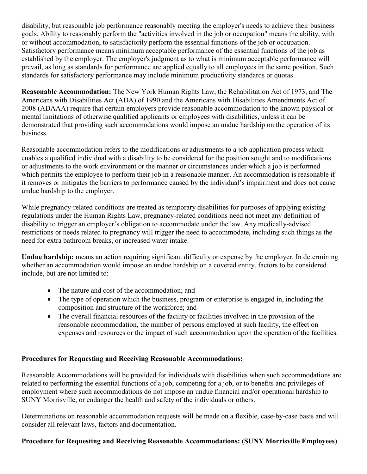disability, but reasonable job performance reasonably meeting the employer's needs to achieve their business goals. Ability to reasonably perform the "activities involved in the job or occupation" means the ability, with or without accommodation, to satisfactorily perform the essential functions of the job or occupation. Satisfactory performance means minimum acceptable performance of the essential functions of the job as established by the employer. The employer's judgment as to what is minimum acceptable performance will prevail, as long as standards for performance are applied equally to all employees in the same position. Such standards for satisfactory performance may include minimum productivity standards or quotas.

**Reasonable Accommodation:** The New York Human Rights Law, the Rehabilitation Act of 1973, and The Americans with Disabilities Act (ADA) of 1990 and the Americans with Disabilities Amendments Act of 2008 (ADAAA) require that certain employers provide reasonable accommodation to the known physical or mental limitations of otherwise qualified applicants or employees with disabilities, unless it can be demonstrated that providing such accommodations would impose an undue hardship on the operation of its business.

Reasonable accommodation refers to the modifications or adjustments to a job application process which enables a qualified individual with a disability to be considered for the position sought and to modifications or adjustments to the work environment or the manner or circumstances under which a job is performed which permits the employee to perform their job in a reasonable manner. An accommodation is reasonable if it removes or mitigates the barriers to performance caused by the individual's impairment and does not cause undue hardship to the employer.

While pregnancy-related conditions are treated as temporary disabilities for purposes of applying existing regulations under the Human Rights Law, pregnancy-related conditions need not meet any definition of disability to trigger an employer's obligation to accommodate under the law. Any medically-advised restrictions or needs related to pregnancy will trigger the need to accommodate, including such things as the need for extra bathroom breaks, or increased water intake.

**Undue hardship:** means an action requiring significant difficulty or expense by the employer. In determining whether an accommodation would impose an undue hardship on a covered entity, factors to be considered include, but are not limited to:

- The nature and cost of the accommodation: and
- The type of operation which the business, program or enterprise is engaged in, including the composition and structure of the workforce; and
- The overall financial resources of the facility or facilities involved in the provision of the reasonable accommodation, the number of persons employed at such facility, the effect on expenses and resources or the impact of such accommodation upon the operation of the facilities.

## **Procedures for Requesting and Receiving Reasonable Accommodations:**

Reasonable Accommodations will be provided for individuals with disabilities when such accommodations are related to performing the essential functions of a job, competing for a job, or to benefits and privileges of employment where such accommodations do not impose an undue financial and/or operational hardship to SUNY Morrisville, or endanger the health and safety of the individuals or others.

Determinations on reasonable accommodation requests will be made on a flexible, case-by-case basis and will consider all relevant laws, factors and documentation.

## **Procedure for Requesting and Receiving Reasonable Accommodations: (SUNY Morrisville Employees)**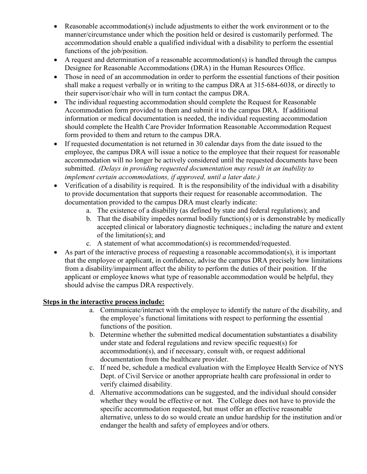- Reasonable accommodation(s) include adjustments to either the work environment or to the manner/circumstance under which the position held or desired is customarily performed. The accommodation should enable a qualified individual with a disability to perform the essential functions of the job/position.
- A request and determination of a reasonable accommodation(s) is handled through the campus Designee for Reasonable Accommodations (DRA) in the Human Resources Office.
- Those in need of an accommodation in order to perform the essential functions of their position shall make a request verbally or in writing to the campus DRA at 315-684-6038, or directly to their supervisor/chair who will in turn contact the campus DRA.
- The individual requesting accommodation should complete the Request for Reasonable Accommodation form provided to them and submit it to the campus DRA. If additional information or medical documentation is needed, the individual requesting accommodation should complete the Health Care Provider Information Reasonable Accommodation Request form provided to them and return to the campus DRA.
- If requested documentation is not returned in 30 calendar days from the date issued to the employee, the campus DRA will issue a notice to the employee that their request for reasonable accommodation will no longer be actively considered until the requested documents have been submitted. *(Delays in providing requested documentation may result in an inability to implement certain accommodations, if approved, until a later date.)*
- Verification of a disability is required. It is the responsibility of the individual with a disability to provide documentation that supports their request for reasonable accommodation. The documentation provided to the campus DRA must clearly indicate:
	- a. The existence of a disability (as defined by state and federal regulations); and
	- b. That the disability impedes normal bodily function(s) or is demonstrable by medically accepted clinical or laboratory diagnostic techniques.; including the nature and extent of the limitation(s); and
	- c. A statement of what accommodation(s) is recommended/requested.
- As part of the interactive process of requesting a reasonable accommodation(s), it is important that the employee or applicant, in confidence, advise the campus DRA precisely how limitations from a disability/impairment affect the ability to perform the duties of their position. If the applicant or employee knows what type of reasonable accommodation would be helpful, they should advise the campus DRA respectively.

## **Steps in the interactive process include:**

- a. Communicate/interact with the employee to identify the nature of the disability, and the employee's functional limitations with respect to performing the essential functions of the position.
- b. Determine whether the submitted medical documentation substantiates a disability under state and federal regulations and review specific request(s) for accommodation(s), and if necessary, consult with, or request additional documentation from the healthcare provider.
- c. If need be, schedule a medical evaluation with the Employee Health Service of NYS Dept. of Civil Service or another appropriate health care professional in order to verify claimed disability.
- d. Alternative accommodations can be suggested, and the individual should consider whether they would be effective or not. The College does not have to provide the specific accommodation requested, but must offer an effective reasonable alternative, unless to do so would create an undue hardship for the institution and/or endanger the health and safety of employees and/or others.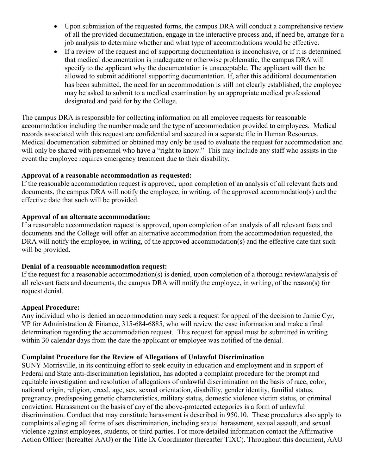- Upon submission of the requested forms, the campus DRA will conduct a comprehensive review of all the provided documentation, engage in the interactive process and, if need be, arrange for a job analysis to determine whether and what type of accommodations would be effective.
- If a review of the request and of supporting documentation is inconclusive, or if it is determined that medical documentation is inadequate or otherwise problematic, the campus DRA will specify to the applicant why the documentation is unacceptable. The applicant will then be allowed to submit additional supporting documentation. If, after this additional documentation has been submitted, the need for an accommodation is still not clearly established, the employee may be asked to submit to a medical examination by an appropriate medical professional designated and paid for by the College.

The campus DRA is responsible for collecting information on all employee requests for reasonable accommodation including the number made and the type of accommodation provided to employees. Medical records associated with this request are confidential and secured in a separate file in Human Resources. Medical documentation submitted or obtained may only be used to evaluate the request for accommodation and will only be shared with personnel who have a "right to know." This may include any staff who assists in the event the employee requires emergency treatment due to their disability.

## **Approval of a reasonable accommodation as requested:**

If the reasonable accommodation request is approved, upon completion of an analysis of all relevant facts and documents, the campus DRA will notify the employee, in writing, of the approved accommodation(s) and the effective date that such will be provided.

#### **Approval of an alternate accommodation:**

If a reasonable accommodation request is approved, upon completion of an analysis of all relevant facts and documents and the College will offer an alternative accommodation from the accommodation requested, the DRA will notify the employee, in writing, of the approved accommodation(s) and the effective date that such will be provided.

#### **Denial of a reasonable accommodation request:**

If the request for a reasonable accommodation(s) is denied, upon completion of a thorough review/analysis of all relevant facts and documents, the campus DRA will notify the employee, in writing, of the reason(s) for request denial.

#### **Appeal Procedure:**

Any individual who is denied an accommodation may seek a request for appeal of the decision to Jamie Cyr, VP for Administration & Finance, 315-684-6885, who will review the case information and make a final determination regarding the accommodation request. This request for appeal must be submitted in writing within 30 calendar days from the date the applicant or employee was notified of the denial.

## **Complaint Procedure for the Review of Allegations of Unlawful Discrimination**

SUNY Morrisville, in its continuing effort to seek equity in education and employment and in support of Federal and State anti-discrimination legislation, has adopted a complaint procedure for the prompt and equitable investigation and resolution of allegations of unlawful discrimination on the basis of race, color, national origin, religion, creed, age, sex, sexual orientation, disability, gender identity, familial status, pregnancy, predisposing genetic characteristics, military status, domestic violence victim status, or criminal conviction. Harassment on the basis of any of the above-protected categories is a form of unlawful discrimination. Conduct that may constitute harassment is described in 950.10. These procedures also apply to complaints alleging all forms of sex discrimination, including sexual harassment, sexual assault, and sexual violence against employees, students, or third parties. For more detailed information contact the Affirmative Action Officer (hereafter AAO) or the Title IX Coordinator (hereafter TIXC). Throughout this document, AAO